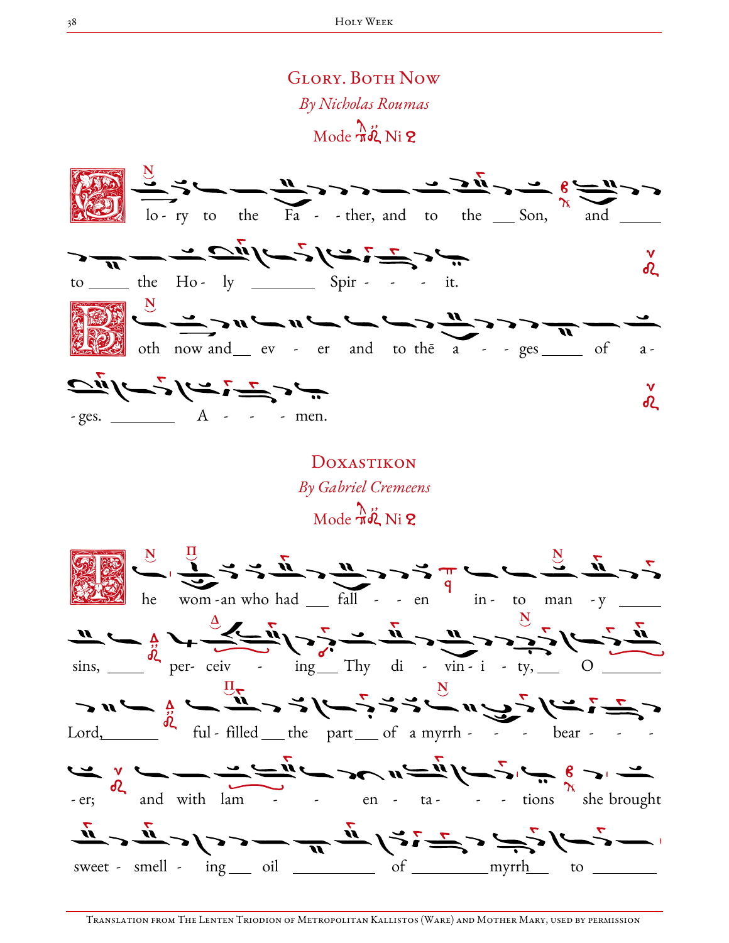

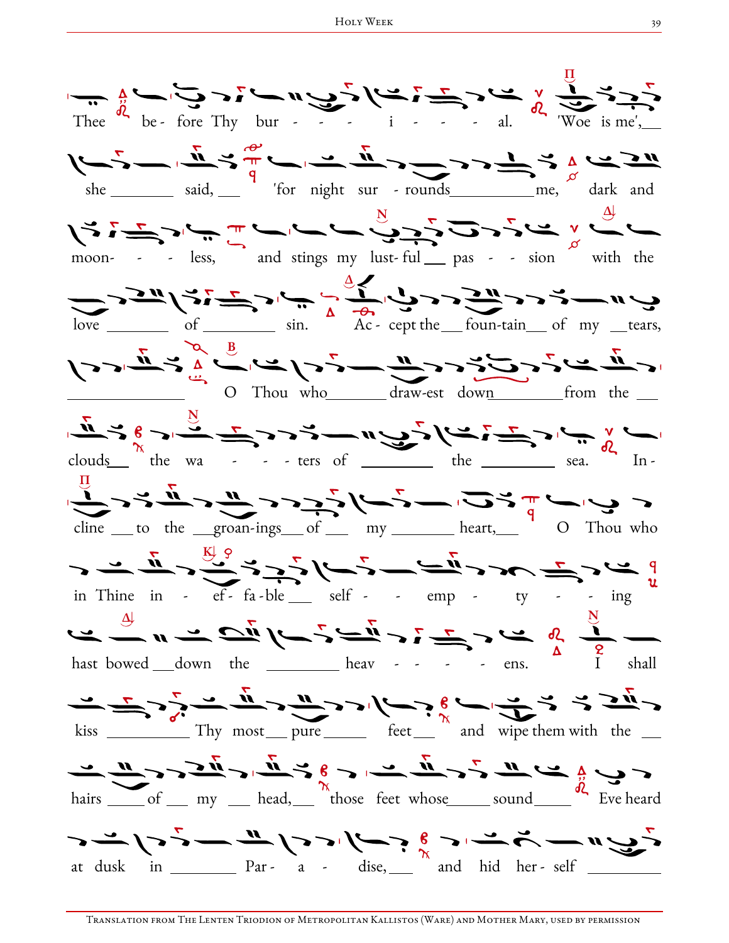